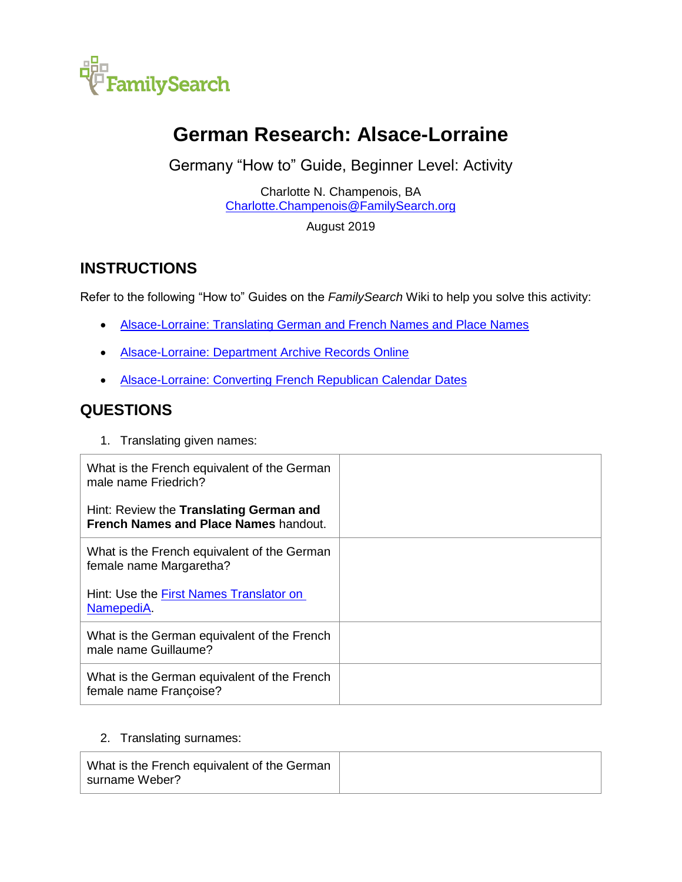

# **German Research: Alsace-Lorraine**

Germany "How to" Guide, Beginner Level: Activity

Charlotte N. Champenois, BA [Charlotte.Champenois@FamilySearch.org](mailto:Charlotte.Champenois@FamilySearch.org)

August 2019

## **INSTRUCTIONS**

Refer to the following "How to" Guides on the *FamilySearch* Wiki to help you solve this activity:

- [Alsace-Lorraine: Translating German and French Names and Place Names](https://www.familysearch.org/wiki/en/img_auth.php/7/70/Alsace-Lorraine%2C_Translating_German_and_French_Names_-_instruction.pdf)
- **[Alsace-Lorraine: Department Archive Records Online](https://www.familysearch.org/wiki/en/img_auth.php/0/0d/Alsace-Lorraine%2C_Department_Archive_Records_Online_-_instructions.pdf)**
- **[Alsace-Lorraine: Converting French Republican Calendar Dates](https://www.familysearch.org/wiki/en/img_auth.php/d/d7/Alsace-Lorraine%2C_Converting_French_Republican_Calendar_Dates_-_instruction.pdf)**

### **QUESTIONS**

1. Translating given names:

| What is the French equivalent of the German<br>male name Friedrich?              |  |
|----------------------------------------------------------------------------------|--|
| Hint: Review the Translating German and<br>French Names and Place Names handout. |  |
| What is the French equivalent of the German<br>female name Margaretha?           |  |
| Hint: Use the First Names Translator on<br>NamepediA.                            |  |
| What is the German equivalent of the French<br>male name Guillaume?              |  |
| What is the German equivalent of the French<br>female name Françoise?            |  |

#### 2. Translating surnames:

| What is the French equivalent of the German |  |
|---------------------------------------------|--|
| surname Weber?                              |  |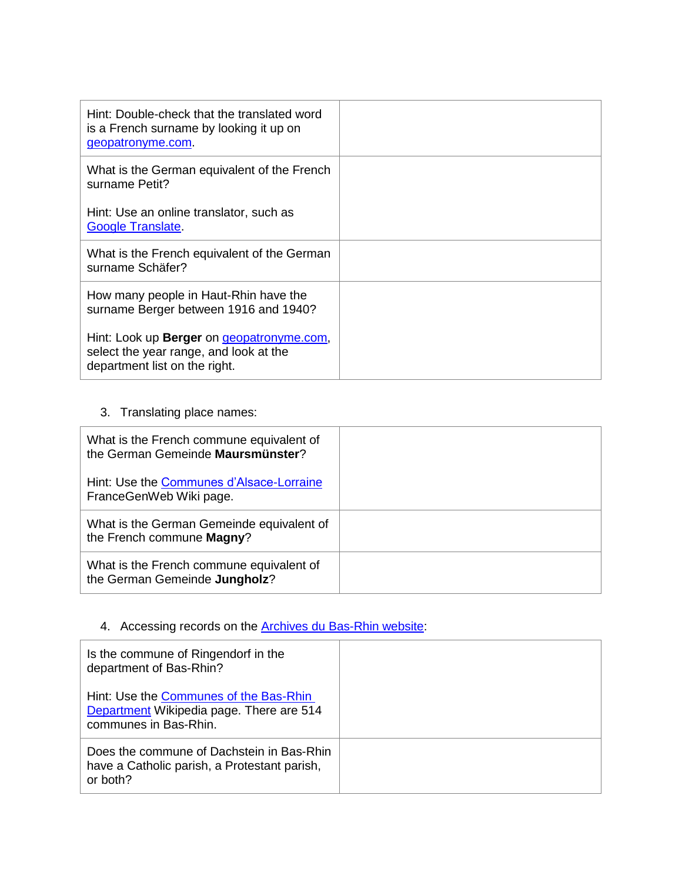| Hint: Double-check that the translated word<br>is a French surname by looking it up on<br>geopatronyme.com.                         |  |
|-------------------------------------------------------------------------------------------------------------------------------------|--|
| What is the German equivalent of the French<br>surname Petit?                                                                       |  |
| Hint: Use an online translator, such as<br><b>Google Translate.</b>                                                                 |  |
| What is the French equivalent of the German<br>surname Schäfer?                                                                     |  |
| How many people in Haut-Rhin have the<br>surname Berger between 1916 and 1940?                                                      |  |
| Hint: Look up <b>Berger</b> on <i>geopatronyme.com</i> ,<br>select the year range, and look at the<br>department list on the right. |  |

### 3. Translating place names:

| What is the French commune equivalent of<br>the German Gemeinde Maursmünster? |  |
|-------------------------------------------------------------------------------|--|
| Hint: Use the Communes d'Alsace-Lorraine<br>FranceGenWeb Wiki page.           |  |
| What is the German Gemeinde equivalent of<br>the French commune Magny?        |  |
| What is the French commune equivalent of<br>the German Gemeinde Jungholz?     |  |

### 4. Accessing records on the **Archives du Bas-Rhin website**:

| Is the commune of Ringendorf in the<br>department of Bas-Rhin?                                              |  |
|-------------------------------------------------------------------------------------------------------------|--|
| Hint: Use the Communes of the Bas-Rhin<br>Department Wikipedia page. There are 514<br>communes in Bas-Rhin. |  |
| Does the commune of Dachstein in Bas-Rhin<br>have a Catholic parish, a Protestant parish,<br>or both?       |  |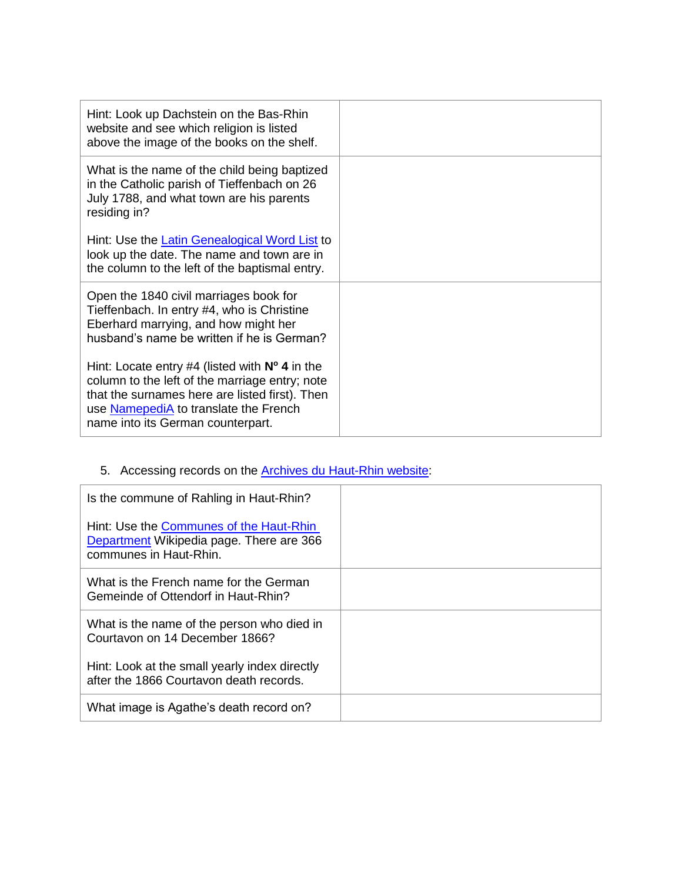| Hint: Look up Dachstein on the Bas-Rhin<br>website and see which religion is listed<br>above the image of the books on the shelf.                                                                                                         |  |
|-------------------------------------------------------------------------------------------------------------------------------------------------------------------------------------------------------------------------------------------|--|
| What is the name of the child being baptized<br>in the Catholic parish of Tieffenbach on 26<br>July 1788, and what town are his parents<br>residing in?                                                                                   |  |
| Hint: Use the Latin Genealogical Word List to<br>look up the date. The name and town are in<br>the column to the left of the baptismal entry.                                                                                             |  |
| Open the 1840 civil marriages book for<br>Tieffenbach. In entry #4, who is Christine<br>Eberhard marrying, and how might her<br>husband's name be written if he is German?                                                                |  |
| Hint: Locate entry #4 (listed with $N^{\circ}$ 4 in the<br>column to the left of the marriage entry; note<br>that the surnames here are listed first). Then<br>use NamepediA to translate the French<br>name into its German counterpart. |  |

# 5. Accessing records on the **Archives du Haut-Rhin website**:

| Is the commune of Rahling in Haut-Rhin?<br>Hint: Use the Communes of the Haut-Rhin<br>Department Wikipedia page. There are 366<br>communes in Haut-Rhin. |  |
|----------------------------------------------------------------------------------------------------------------------------------------------------------|--|
| What is the French name for the German<br>Gemeinde of Ottendorf in Haut-Rhin?                                                                            |  |
| What is the name of the person who died in<br>Courtavon on 14 December 1866?                                                                             |  |
| Hint: Look at the small yearly index directly<br>after the 1866 Courtavon death records.                                                                 |  |
| What image is Agathe's death record on?                                                                                                                  |  |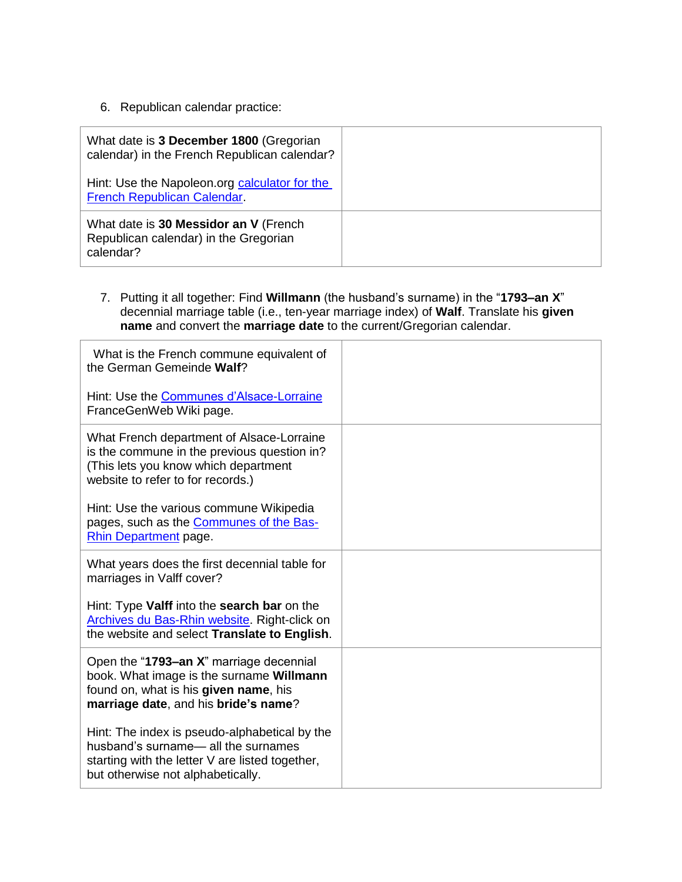6. Republican calendar practice:

| What date is 3 December 1800 (Gregorian<br>calendar) in the French Republican calendar?     |  |
|---------------------------------------------------------------------------------------------|--|
| Hint: Use the Napoleon.org calculator for the<br>French Republican Calendar.                |  |
| What date is 30 Messidor an V (French<br>Republican calendar) in the Gregorian<br>calendar? |  |

7. Putting it all together: Find **Willmann** (the husband's surname) in the "**1793–an X**" decennial marriage table (i.e., ten-year marriage index) of **Walf**. Translate his **given name** and convert the **marriage date** to the current/Gregorian calendar.

| What is the French commune equivalent of<br>the German Gemeinde Walf?                                                                                                       |  |
|-----------------------------------------------------------------------------------------------------------------------------------------------------------------------------|--|
| Hint: Use the Communes d'Alsace-Lorraine<br>FranceGenWeb Wiki page.                                                                                                         |  |
| What French department of Alsace-Lorraine<br>is the commune in the previous question in?<br>(This lets you know which department<br>website to refer to for records.)       |  |
| Hint: Use the various commune Wikipedia<br>pages, such as the <b>Communes of the Bas-</b><br>Rhin Department page.                                                          |  |
| What years does the first decennial table for<br>marriages in Valff cover?                                                                                                  |  |
| Hint: Type Valff into the search bar on the<br>Archives du Bas-Rhin website. Right-click on<br>the website and select Translate to English.                                 |  |
| Open the "1793-an X" marriage decennial<br>book. What image is the surname Willmann<br>found on, what is his given name, his<br>marriage date, and his bride's name?        |  |
| Hint: The index is pseudo-alphabetical by the<br>husband's surname-all the surnames<br>starting with the letter V are listed together,<br>but otherwise not alphabetically. |  |